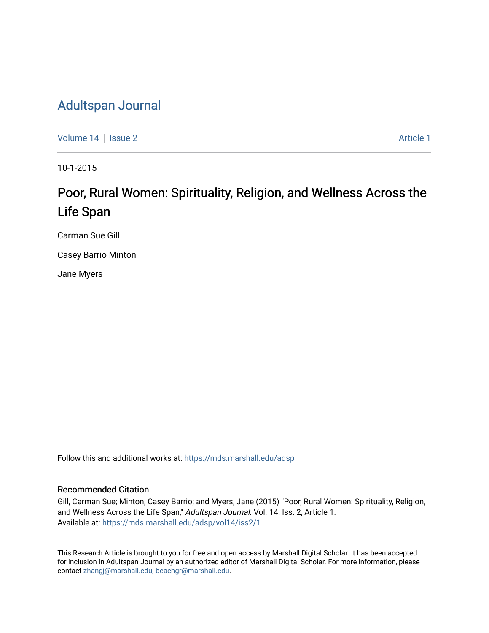# [Adultspan Journal](https://mds.marshall.edu/adsp)

[Volume 14](https://mds.marshall.edu/adsp/vol14) | [Issue 2](https://mds.marshall.edu/adsp/vol14/iss2) [Article 1](https://mds.marshall.edu/adsp/vol14/iss2/1) | Article 1 | Article 1 | Article 1 | Article 1 | Article 1 | Article 1 | Article 1 | Article 1 | Article 1 | Article 1 | Article 1 | Article 1 | Article 1 | Article 1 | Article 1 | Article 1

10-1-2015

# Poor, Rural Women: Spirituality, Religion, and Wellness Across the Life Span

Carman Sue Gill

Casey Barrio Minton

Jane Myers

Follow this and additional works at: [https://mds.marshall.edu/adsp](https://mds.marshall.edu/adsp?utm_source=mds.marshall.edu%2Fadsp%2Fvol14%2Fiss2%2F1&utm_medium=PDF&utm_campaign=PDFCoverPages) 

# Recommended Citation

Gill, Carman Sue; Minton, Casey Barrio; and Myers, Jane (2015) "Poor, Rural Women: Spirituality, Religion, and Wellness Across the Life Span," Adultspan Journal: Vol. 14: Iss. 2, Article 1. Available at: [https://mds.marshall.edu/adsp/vol14/iss2/1](https://mds.marshall.edu/adsp/vol14/iss2/1?utm_source=mds.marshall.edu%2Fadsp%2Fvol14%2Fiss2%2F1&utm_medium=PDF&utm_campaign=PDFCoverPages) 

This Research Article is brought to you for free and open access by Marshall Digital Scholar. It has been accepted for inclusion in Adultspan Journal by an authorized editor of Marshall Digital Scholar. For more information, please contact [zhangj@marshall.edu, beachgr@marshall.edu](mailto:zhangj@marshall.edu,%20beachgr@marshall.edu).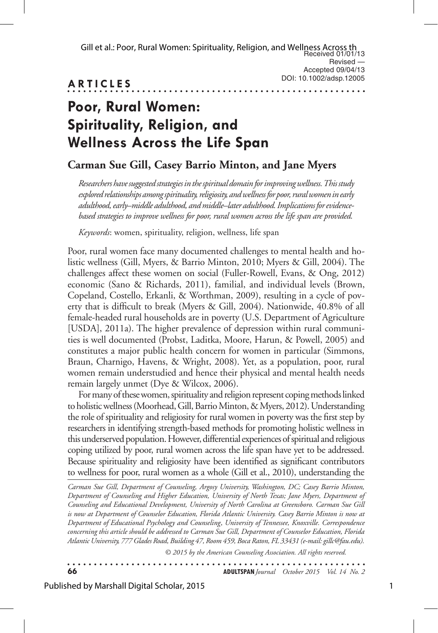**articles** 

# **Poor, Rural Women: Spirituality, Religion, and Wellness Across the Life Span**

# **Carman Sue Gill, Casey Barrio Minton, and Jane Myers**

*Researchers have suggested strategies in the spiritual domain for improving wellness. This study explored relationships among spirituality, religiosity, and wellness for poor, rural women in early adulthood, early–middle adulthood, and middle–later adulthood. Implications for evidencebased strategies to improve wellness for poor, rural women across the life span are provided.* 

*Keywords*: women, spirituality, religion, wellness, life span

Poor, rural women face many documented challenges to mental health and holistic wellness (Gill, Myers, & Barrio Minton, 2010; Myers & Gill, 2004). The challenges affect these women on social (Fuller-Rowell, Evans, & Ong, 2012) economic (Sano & Richards, 2011), familial, and individual levels (Brown, Copeland, Costello, Erkanli, & Worthman, 2009), resulting in a cycle of poverty that is difficult to break (Myers & Gill, 2004). Nationwide, 40.8% of all female-headed rural households are in poverty (U.S. Department of Agriculture [USDA], 2011a). The higher prevalence of depression within rural communities is well documented (Probst, Laditka, Moore, Harun, & Powell, 2005) and constitutes a major public health concern for women in particular (Simmons, Braun, Charnigo, Havens, & Wright, 2008). Yet, as a population, poor, rural women remain understudied and hence their physical and mental health needs remain largely unmet (Dye & Wilcox, 2006).

For many of these women, spirituality and religion represent coping methods linked to holistic wellness (Moorhead, Gill, Barrio Minton, & Myers, 2012). Understanding the role of spirituality and religiosity for rural women in poverty was the first step by researchers in identifying strength-based methods for promoting holistic wellness in this underserved population. However, differential experiences of spiritual and religious coping utilized by poor, rural women across the life span have yet to be addressed. Because spirituality and religiosity have been identified as significant contributors to wellness for poor, rural women as a whole (Gill et al., 2010), understanding the

*Carman Sue Gill, Department of Counseling, Argosy University, Washington, DC; Casey Barrio Minton, Department of Counseling and Higher Education, University of North Texas; Jane Myers, Department of Counseling and Educational Development, University of North Carolina at Greensboro. Carman Sue Gill is now at Department of Counselor Education, Florida Atlantic University. Casey Barrio Minton is now at Department of Educational Psychology and Counseling*, *University of Tennessee, Knoxville. Correspondence concerning this article should be addressed to Carman Sue Gill, Department of Counselor Education, Florida Atlantic University, 777 Glades Road, Building 47, Room 459, Boca Raton, FL 33431 (e-mail: gillc@fau.edu).*

*© 2015 by the American Counseling Association. All rights reserved.*

. . . . . . . **66 ADULTSPAN***Journal October 2015 Vol. 14 No. 2*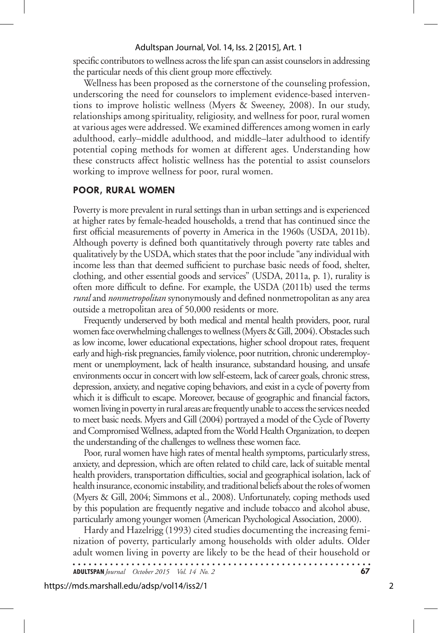specific contributors to wellness across the life span can assist counselors in addressing the particular needs of this client group more effectively.

Wellness has been proposed as the cornerstone of the counseling profession, underscoring the need for counselors to implement evidence-based interventions to improve holistic wellness (Myers & Sweeney, 2008). In our study, relationships among spirituality, religiosity, and wellness for poor, rural women at various ages were addressed. We examined differences among women in early adulthood, early–middle adulthood, and middle–later adulthood to identify potential coping methods for women at different ages. Understanding how these constructs affect holistic wellness has the potential to assist counselors working to improve wellness for poor, rural women.

# **Poor, Rural Women**

Poverty is more prevalent in rural settings than in urban settings and is experienced at higher rates by female-headed households, a trend that has continued since the first official measurements of poverty in America in the 1960s (USDA, 2011b). Although poverty is defined both quantitatively through poverty rate tables and qualitatively by the USDA, which states that the poor include "any individual with income less than that deemed sufficient to purchase basic needs of food, shelter, clothing, and other essential goods and services" (USDA, 2011a, p. 1), rurality is often more difficult to define. For example, the USDA (2011b) used the terms *rural* and *nonmetropolitan* synonymously and defined nonmetropolitan as any area outside a metropolitan area of 50,000 residents or more.

Frequently underserved by both medical and mental health providers, poor, rural women face overwhelming challenges to wellness (Myers & Gill, 2004). Obstacles such as low income, lower educational expectations, higher school dropout rates, frequent early and high-risk pregnancies, family violence, poor nutrition, chronic underemployment or unemployment, lack of health insurance, substandard housing, and unsafe environments occur in concert with low self-esteem, lack of career goals, chronic stress, depression, anxiety, and negative coping behaviors, and exist in a cycle of poverty from which it is difficult to escape. Moreover, because of geographic and financial factors, women living in poverty in rural areas are frequently unable to access the services needed to meet basic needs. Myers and Gill (2004) portrayed a model of the Cycle of Poverty and Compromised Wellness, adapted from the World Health Organization, to deepen the understanding of the challenges to wellness these women face.

Poor, rural women have high rates of mental health symptoms, particularly stress, anxiety, and depression, which are often related to child care, lack of suitable mental health providers, transportation difficulties, social and geographical isolation, lack of health insurance, economic instability, and traditional beliefs about the roles of women (Myers & Gill, 2004; Simmons et al., 2008). Unfortunately, coping methods used by this population are frequently negative and include tobacco and alcohol abuse, particularly among younger women (American Psychological Association, 2000).

Hardy and Hazelrigg (1993) cited studies documenting the increasing feminization of poverty, particularly among households with older adults. Older adult women living in poverty are likely to be the head of their household or

**ADULTSPAN***Journal October 2015 Vol. 14 No. 2* **67**

https://mds.marshall.edu/adsp/vol14/iss2/1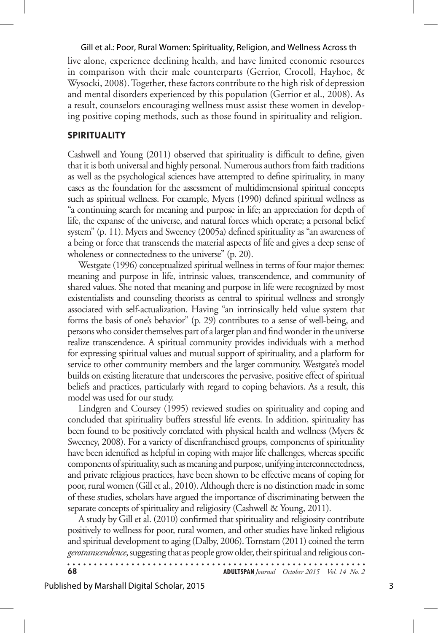live alone, experience declining health, and have limited economic resources in comparison with their male counterparts (Gerrior, Crocoll, Hayhoe, & Wysocki, 2008). Together, these factors contribute to the high risk of depression and mental disorders experienced by this population (Gerrior et al., 2008). As a result, counselors encouraging wellness must assist these women in developing positive coping methods, such as those found in spirituality and religion.

### **Spirituality**

Cashwell and Young (2011) observed that spirituality is difficult to define, given that it is both universal and highly personal. Numerous authors from faith traditions as well as the psychological sciences have attempted to define spirituality, in many cases as the foundation for the assessment of multidimensional spiritual concepts such as spiritual wellness. For example, Myers (1990) defined spiritual wellness as "a continuing search for meaning and purpose in life; an appreciation for depth of life, the expanse of the universe, and natural forces which operate; a personal belief system" (p. 11). Myers and Sweeney (2005a) defined spirituality as "an awareness of a being or force that transcends the material aspects of life and gives a deep sense of wholeness or connectedness to the universe" (p. 20).

Westgate (1996) conceptualized spiritual wellness in terms of four major themes: meaning and purpose in life, intrinsic values, transcendence, and community of shared values. She noted that meaning and purpose in life were recognized by most existentialists and counseling theorists as central to spiritual wellness and strongly associated with self-actualization. Having "an intrinsically held value system that forms the basis of one's behavior" (p. 29) contributes to a sense of well-being, and persons who consider themselves part of a larger plan and find wonder in the universe realize transcendence. A spiritual community provides individuals with a method for expressing spiritual values and mutual support of spirituality, and a platform for service to other community members and the larger community. Westgate's model builds on existing literature that underscores the pervasive, positive effect of spiritual beliefs and practices, particularly with regard to coping behaviors. As a result, this model was used for our study.

Lindgren and Coursey (1995) reviewed studies on spirituality and coping and concluded that spirituality buffers stressful life events. In addition, spirituality has been found to be positively correlated with physical health and wellness (Myers & Sweeney, 2008). For a variety of disenfranchised groups, components of spirituality have been identified as helpful in coping with major life challenges, whereas specific components of spirituality, such as meaning and purpose, unifying interconnectedness, and private religious practices, have been shown to be effective means of coping for poor, rural women (Gill et al., 2010). Although there is no distinction made in some of these studies, scholars have argued the importance of discriminating between the separate concepts of spirituality and religiosity (Cashwell & Young, 2011).

A study by Gill et al. (2010) confirmed that spirituality and religiosity contribute positively to wellness for poor, rural women, and other studies have linked religious and spiritual development to aging (Dalby, 2006). Tornstam (2011) coined the term *gerotranscendence*, suggesting that as people grow older, their spiritual and religious con-

| -68 | <b>ADULTSPAN</b> Journal October 2015 Vol. 14 No. 2 |  |
|-----|-----------------------------------------------------|--|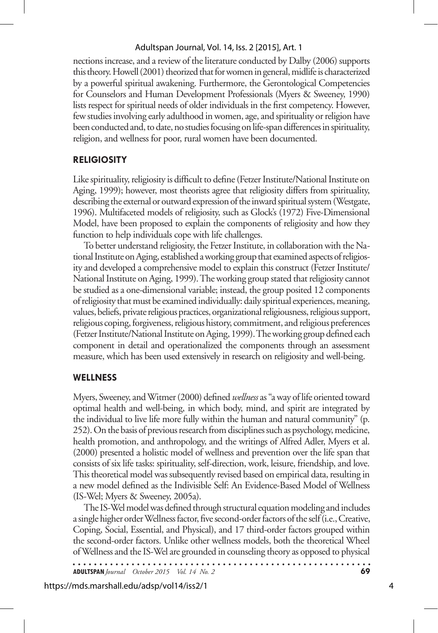nections increase, and a review of the literature conducted by Dalby (2006) supports this theory. Howell (2001) theorized that for women in general, midlife is characterized by a powerful spiritual awakening. Furthermore, the Gerontological Competencies for Counselors and Human Development Professionals (Myers & Sweeney, 1990) lists respect for spiritual needs of older individuals in the first competency. However, few studies involving early adulthood in women, age, and spirituality or religion have been conducted and, to date, no studies focusing on life-span differences in spirituality, religion, and wellness for poor, rural women have been documented.

# **Religiosity**

Like spirituality, religiosity is difficult to define (Fetzer Institute/National Institute on Aging, 1999); however, most theorists agree that religiosity differs from spirituality, describing the external or outward expression of the inward spiritual system (Westgate, 1996). Multifaceted models of religiosity, such as Glock's (1972) Five-Dimensional Model, have been proposed to explain the components of religiosity and how they function to help individuals cope with life challenges.

To better understand religiosity, the Fetzer Institute, in collaboration with the National Institute on Aging, established a working group that examined aspects of religiosity and developed a comprehensive model to explain this construct (Fetzer Institute/ National Institute on Aging, 1999). The working group stated that religiosity cannot be studied as a one-dimensional variable; instead, the group posited 12 components of religiosity that must be examined individually: daily spiritual experiences, meaning, values, beliefs, private religious practices, organizational religiousness, religious support, religious coping, forgiveness, religious history, commitment, and religious preferences (Fetzer Institute/National Institute on Aging, 1999). The working group defined each component in detail and operationalized the components through an assessment measure, which has been used extensively in research on religiosity and well-being.

# **Wellness**

Myers, Sweeney, and Witmer (2000) defined *wellness* as "a way of life oriented toward optimal health and well-being, in which body, mind, and spirit are integrated by the individual to live life more fully within the human and natural community" (p. 252). On the basis of previous research from disciplines such as psychology, medicine, health promotion, and anthropology, and the writings of Alfred Adler, Myers et al. (2000) presented a holistic model of wellness and prevention over the life span that consists of six life tasks: spirituality, self-direction, work, leisure, friendship, and love. This theoretical model was subsequently revised based on empirical data, resulting in a new model defined as the Indivisible Self: An Evidence-Based Model of Wellness (IS-Wel; Myers & Sweeney, 2005a).

The IS-Wel model was defined through structural equation modeling and includes a single higher order Wellness factor, five second-order factors of the self (i.e., Creative, Coping, Social, Essential, and Physical), and 17 third-order factors grouped within the second-order factors. Unlike other wellness models, both the theoretical Wheel of Wellness and the IS-Wel are grounded in counseling theory as opposed to physical

**ADULTSPAN***Journal October 2015 Vol. 14 No. 2* **69**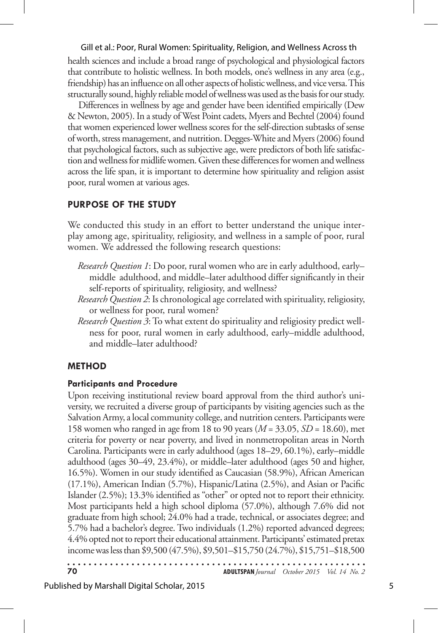health sciences and include a broad range of psychological and physiological factors that contribute to holistic wellness. In both models, one's wellness in any area (e.g., friendship) has an influence on all other aspects of holistic wellness, and vice versa. This structurally sound, highly reliable model of wellness was used as the basis for our study.

Differences in wellness by age and gender have been identified empirically (Dew & Newton, 2005). In a study of West Point cadets, Myers and Bechtel (2004) found that women experienced lower wellness scores for the self-direction subtasks of sense of worth, stress management, and nutrition. Degges-White and Myers (2006) found that psychological factors, such as subjective age, were predictors of both life satisfaction and wellness for midlife women. Given these differences for women and wellness across the life span, it is important to determine how spirituality and religion assist poor, rural women at various ages.

# **Purpose of the Study**

We conducted this study in an effort to better understand the unique interplay among age, spirituality, religiosity, and wellness in a sample of poor, rural women. We addressed the following research questions:

- *Research Question 1*: Do poor, rural women who are in early adulthood, early– middle adulthood, and middle–later adulthood differ significantly in their self-reports of spirituality, religiosity, and wellness?
- *Research Question 2*: Is chronological age correlated with spirituality, religiosity, or wellness for poor, rural women?
- *Research Question 3*: To what extent do spirituality and religiosity predict wellness for poor, rural women in early adulthood, early–middle adulthood, and middle–later adulthood?

# **Method**

# **Participants and Procedure**

Upon receiving institutional review board approval from the third author's university, we recruited a diverse group of participants by visiting agencies such as the Salvation Army, a local community college, and nutrition centers. Participants were 158 women who ranged in age from 18 to 90 years (*M* = 33.05, *SD* = 18.60), met criteria for poverty or near poverty, and lived in nonmetropolitan areas in North Carolina. Participants were in early adulthood (ages 18–29, 60.1%), early–middle adulthood (ages 30–49, 23.4%), or middle–later adulthood (ages 50 and higher, 16.5%). Women in our study identified as Caucasian (58.9%), African American (17.1%), American Indian (5.7%), Hispanic/Latina (2.5%), and Asian or Pacific Islander (2.5%); 13.3% identified as "other" or opted not to report their ethnicity. Most participants held a high school diploma (57.0%), although 7.6% did not graduate from high school; 24.0% had a trade, technical, or associates degree; and 5.7% had a bachelor's degree. Two individuals (1.2%) reported advanced degrees; 4.4% opted not to report their educational attainment. Participants' estimated pretax income was less than \$9,500 (47.5%), \$9,501–\$15,750 (24.7%), \$15,751–\$18,500

| 70 | <b>ADULTSPAN</b> Journal October 2015 Vol. 14 No. 2 |
|----|-----------------------------------------------------|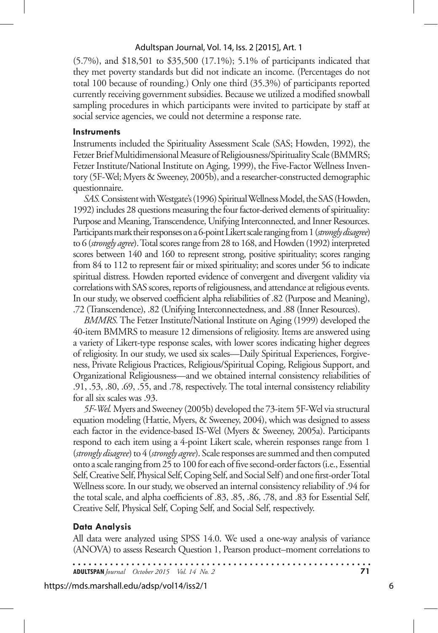(5.7%), and \$18,501 to \$35,500 (17.1%); 5.1% of participants indicated that they met poverty standards but did not indicate an income. (Percentages do not total 100 because of rounding.) Only one third (35.3%) of participants reported currently receiving government subsidies. Because we utilized a modified snowball sampling procedures in which participants were invited to participate by staff at social service agencies, we could not determine a response rate.

# **Instruments**

Instruments included the Spirituality Assessment Scale (SAS; Howden, 1992), the Fetzer Brief Multidimensional Measure of Religiousness/Spirituality Scale (BMMRS; Fetzer Institute/National Institute on Aging, 1999), the Five-Factor Wellness Inventory (5F-Wel; Myers & Sweeney, 2005b), and a researcher-constructed demographic questionnaire.

*SAS.* Consistent with Westgate's (1996) Spiritual Wellness Model, the SAS (Howden, 1992) includes 28 questions measuring the four factor-derived elements of spirituality: Purpose and Meaning, Transcendence, Unifying Interconnected, and Inner Resources. Participants mark their responses on a 6-point Likert scale ranging from 1 (*strongly disagree*) to 6 (*strongly agree*). Total scores range from 28 to 168, and Howden (1992) interpreted scores between 140 and 160 to represent strong, positive spirituality; scores ranging from 84 to 112 to represent fair or mixed spirituality; and scores under 56 to indicate spiritual distress. Howden reported evidence of convergent and divergent validity via correlations with SAS scores, reports of religiousness, and attendance at religious events. In our study, we observed coefficient alpha reliabilities of .82 (Purpose and Meaning), .72 (Transcendence), .82 (Unifying Interconnectedness, and .88 (Inner Resources).

*BMMRS.* The Fetzer Institute/National Institute on Aging (1999) developed the 40-item BMMRS to measure 12 dimensions of religiosity. Items are answered using a variety of Likert-type response scales, with lower scores indicating higher degrees of religiosity. In our study, we used six scales—Daily Spiritual Experiences, Forgiveness, Private Religious Practices, Religious/Spiritual Coping, Religious Support, and Organizational Religiousness—and we obtained internal consistency reliabilities of .91, .53, .80, .69, .55, and .78, respectively. The total internal consistency reliability for all six scales was .93.

*5F-Wel.* Myers and Sweeney (2005b) developed the 73-item 5F-Wel via structural equation modeling (Hattie, Myers, & Sweeney, 2004), which was designed to assess each factor in the evidence-based IS-Wel (Myers & Sweeney, 2005a). Participants respond to each item using a 4-point Likert scale, wherein responses range from 1 (*strongly disagree*) to 4 (*strongly agree*). Scale responses are summed and then computed onto a scale ranging from 25 to 100 for each of five second-order factors (i.e., Essential Self, Creative Self, Physical Self, Coping Self, and Social Self) and one first-order Total Wellness score. In our study, we observed an internal consistency reliability of .94 for the total scale, and alpha coefficients of .83, .85, .86, .78, and .83 for Essential Self, Creative Self, Physical Self, Coping Self, and Social Self, respectively.

# **Data Analysis**

All data were analyzed using SPSS 14.0. We used a one-way analysis of variance (ANOVA) to assess Research Question 1, Pearson product–moment correlations to

**ADULTSPAN***Journal October 2015 Vol. 14 No. 2* **71**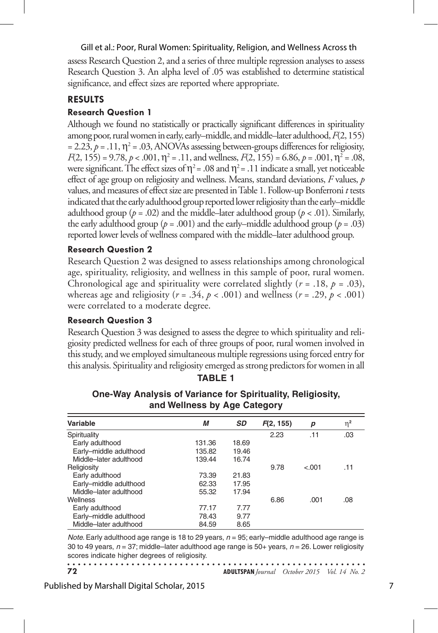assess Research Question 2, and a series of three multiple regression analyses to assess Research Question 3. An alpha level of .05 was established to determine statistical significance, and effect sizes are reported where appropriate.

# **Results**

# **Research Question 1**

Although we found no statistically or practically significant differences in spirituality among poor, rural women in early, early–middle, and middle–later adulthood, *F*(2, 155)  $= 2.23, p = .11, \eta^2 = .03, ANOVAs assessing between-groups differences for religiousity,$  $F(2, 155) = 9.78, p < .001, \eta^2 = .11$ , and wellness,  $F(2, 155) = 6.86, p = .001, \eta^2 = .08$ , were significant. The effect sizes of  $\eta^2$  = .08 and  $\eta^2$  = .11 indicate a small, yet noticeable effect of age group on religiosity and wellness. Means, standard deviations, *F* values, *p*  values, and measures of effect size are presented in Table 1. Follow-up Bonferroni *t* tests indicated that the early adulthood group reported lower religiosity than the early–middle adulthood group ( $p = .02$ ) and the middle–later adulthood group ( $p < .01$ ). Similarly, the early adulthood group ( $p = .001$ ) and the early–middle adulthood group ( $p = .03$ ) reported lower levels of wellness compared with the middle–later adulthood group.

# **Research Question 2**

Research Question 2 was designed to assess relationships among chronological age, spirituality, religiosity, and wellness in this sample of poor, rural women. Chronological age and spirituality were correlated slightly  $(r = .18, p = .03)$ , whereas age and religiosity ( $r = .34$ ,  $p < .001$ ) and wellness ( $r = .29$ ,  $p < .001$ ) were correlated to a moderate degree.

# **Research Question 3**

Research Question 3 was designed to assess the degree to which spirituality and religiosity predicted wellness for each of three groups of poor, rural women involved in this study, and we employed simultaneous multiple regressions using forced entry for this analysis. Spirituality and religiosity emerged as strong predictors for women in all

| Variable               | М      | <b>SD</b> | F(2, 155) | р       | $\eta^2$ |
|------------------------|--------|-----------|-----------|---------|----------|
| Spirituality           |        |           | 2.23      | .11     | .03      |
| Early adulthood        | 131.36 | 18.69     |           |         |          |
| Early-middle adulthood | 135.82 | 19.46     |           |         |          |
| Middle-later adulthood | 139.44 | 16.74     |           |         |          |
| Religiosity            |        |           | 9.78      | $-.001$ | .11      |
| Early adulthood        | 73.39  | 21.83     |           |         |          |
| Early-middle adulthood | 62.33  | 17.95     |           |         |          |
| Middle-later adulthood | 55.32  | 17.94     |           |         |          |
| Wellness               |        |           | 6.86      | .001    | .08      |
| Early adulthood        | 77.17  | 7.77      |           |         |          |
| Early-middle adulthood | 78.43  | 9.77      |           |         |          |
| Middle-later adulthood | 84.59  | 8.65      |           |         |          |

**One-Way Analysis of Variance for Spirituality, Religiosity, and Wellness by Age Category**

**Table 1**

*Note.* Early adulthood age range is 18 to 29 years, *n* = 95; early–middle adulthood age range is 30 to 49 years, *n* = 37; middle–later adulthood age range is 50+ years, *n* = 26. Lower religiosity scores indicate higher degrees of religiosity.

#### . . . . . . . . . **72 ADULTSPAN***Journal October 2015 Vol. 14 No. 2*

Published by Marshall Digital Scholar, 2015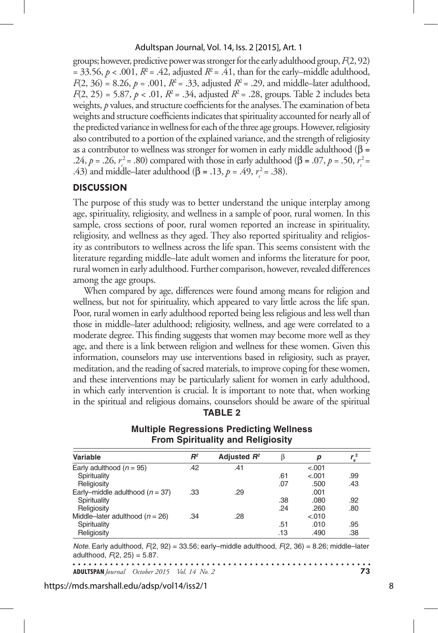groups; however, predictive power was stronger for the early adulthood group, *F*(2, 92)  $= 33.56$ ,  $p < .001$ ,  $R^2 = .42$ , adjusted  $R^2 = .41$ , than for the early–middle adulthood, *F*(2, 36) = 8.26, *p* = .001,  $R^2$  = .33, adjusted  $R^2$  = .29, and middle–later adulthood, *F*(2, 25) = 5.87,  $p < .01$ ,  $R^2 = .34$ , adjusted  $R^2 = .28$ , groups. Table 2 includes beta weights, *p* values, and structure coefficients for the analyses. The examination of beta weights and structure coefficients indicates that spirituality accounted for nearly all of the predicted variance in wellness for each of the three age groups. However, religiosity also contributed to a portion of the explained variance, and the strength of religiosity as a contributor to wellness was stronger for women in early middle adulthood (β **=**  .24, *p* = .26, *r*<sup>2</sup> = .80) compared with those in early adulthood (β = .07, *p* = .50, *r*<sup>2</sup> = .43) and middle–later adulthood (β = .13, *p* = .49,  $r_s^2$  = .38).

# **Discussion**

The purpose of this study was to better understand the unique interplay among age, spirituality, religiosity, and wellness in a sample of poor, rural women. In this sample, cross sections of poor, rural women reported an increase in spirituality, religiosity, and wellness as they aged. They also reported spirituality and religiosity as contributors to wellness across the life span. This seems consistent with the literature regarding middle–late adult women and informs the literature for poor, rural women in early adulthood. Further comparison, however, revealed differences among the age groups.

When compared by age, differences were found among means for religion and wellness, but not for spirituality, which appeared to vary little across the life span. Poor, rural women in early adulthood reported being less religious and less well than those in middle–later adulthood; religiosity, wellness, and age were correlated to a moderate degree. This finding suggests that women may become more well as they age, and there is a link between religion and wellness for these women. Given this information, counselors may use interventions based in religiosity, such as prayer, meditation, and the reading of sacred materials, to improve coping for these women, and these interventions may be particularly salient for women in early adulthood, in which early intervention is crucial. It is important to note that, when working in the spiritual and religious domains, counselors should be aware of the spiritual

| Variable                            | $R^2$ | Adjusted $R^2$ | ß   | р       | r 2 |
|-------------------------------------|-------|----------------|-----|---------|-----|
| Early adulthood $(n = 95)$          | .42   | .41            |     | < .001  |     |
| Spirituality                        |       |                | .61 | $-.001$ | .99 |
| Religiosity                         |       |                | .07 | .500    | .43 |
| Early-middle adulthood $(n = 37)$   | .33   | .29            |     | .001    |     |
| Spirituality                        |       |                | .38 | .080    | .92 |
| Religiosity                         |       |                | .24 | .260    | .80 |
| Middle-later adulthood ( $n = 26$ ) | .34   | .28            |     | < .010  |     |
| Spirituality                        |       |                | .51 | .010    | .95 |
| Religiosity                         |       |                | .13 | .490    | .38 |

**Multiple Regressions Predicting Wellness From Spirituality and Religiosity**

**Table 2**

*Note.* Early adulthood, *F*(2, 92) = 33.56; early–middle adulthood, *F*(2, 36) = 8.26; middle–later adulthood,  $F(2, 25) = 5.87$ .

**ADULTSPAN***Journal October 2015 Vol. 14 No. 2* **73**

https://mds.marshall.edu/adsp/vol14/iss2/1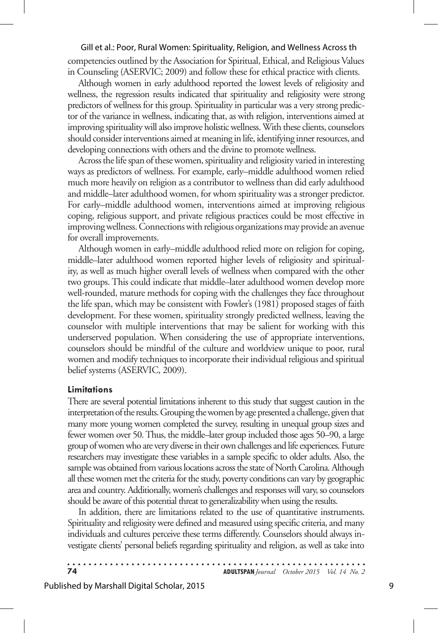competencies outlined by the Association for Spiritual, Ethical, and Religious Values in Counseling (ASERVIC; 2009) and follow these for ethical practice with clients.

Although women in early adulthood reported the lowest levels of religiosity and wellness, the regression results indicated that spirituality and religiosity were strong predictors of wellness for this group. Spirituality in particular was a very strong predictor of the variance in wellness, indicating that, as with religion, interventions aimed at improving spirituality will also improve holistic wellness. With these clients, counselors should consider interventions aimed at meaning in life, identifying inner resources, and developing connections with others and the divine to promote wellness.

Across the life span of these women, spirituality and religiosity varied in interesting ways as predictors of wellness. For example, early–middle adulthood women relied much more heavily on religion as a contributor to wellness than did early adulthood and middle–later adulthood women, for whom spirituality was a stronger predictor. For early–middle adulthood women, interventions aimed at improving religious coping, religious support, and private religious practices could be most effective in improving wellness. Connections with religious organizations may provide an avenue for overall improvements.

Although women in early–middle adulthood relied more on religion for coping, middle–later adulthood women reported higher levels of religiosity and spirituality, as well as much higher overall levels of wellness when compared with the other two groups. This could indicate that middle–later adulthood women develop more well-rounded, mature methods for coping with the challenges they face throughout the life span, which may be consistent with Fowler's (1981) proposed stages of faith development. For these women, spirituality strongly predicted wellness, leaving the counselor with multiple interventions that may be salient for working with this underserved population. When considering the use of appropriate interventions, counselors should be mindful of the culture and worldview unique to poor, rural women and modify techniques to incorporate their individual religious and spiritual belief systems (ASERVIC, 2009).

### **Limitations**

There are several potential limitations inherent to this study that suggest caution in the interpretation of the results. Grouping the women by age presented a challenge, given that many more young women completed the survey, resulting in unequal group sizes and fewer women over 50. Thus, the middle–later group included those ages 50–90, a large group of women who are very diverse in their own challenges and life experiences. Future researchers may investigate these variables in a sample specific to older adults. Also, the sample was obtained from various locations across the state of North Carolina. Although all these women met the criteria for the study, poverty conditions can vary by geographic area and country. Additionally, women's challenges and responses will vary, so counselors should be aware of this potential threat to generalizability when using the results.

In addition, there are limitations related to the use of quantitative instruments. Spirituality and religiosity were defined and measured using specific criteria, and many individuals and cultures perceive these terms differently. Counselors should always investigate clients' personal beliefs regarding spirituality and religion, as well as take into

**74 ADULTSPAN***Journal October 2015 Vol. 14 No. 2*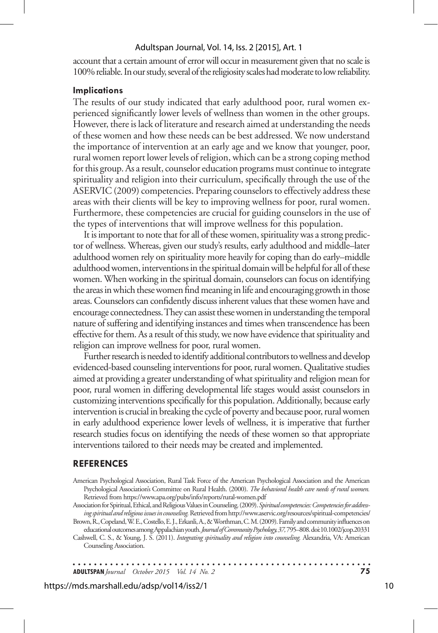account that a certain amount of error will occur in measurement given that no scale is 100% reliable. In our study, several of the religiosity scales had moderate to low reliability.

# **Implications**

The results of our study indicated that early adulthood poor, rural women experienced significantly lower levels of wellness than women in the other groups. However, there is lack of literature and research aimed at understanding the needs of these women and how these needs can be best addressed. We now understand the importance of intervention at an early age and we know that younger, poor, rural women report lower levels of religion, which can be a strong coping method for this group. As a result, counselor education programs must continue to integrate spirituality and religion into their curriculum, specifically through the use of the ASERVIC (2009) competencies. Preparing counselors to effectively address these areas with their clients will be key to improving wellness for poor, rural women. Furthermore, these competencies are crucial for guiding counselors in the use of the types of interventions that will improve wellness for this population.

It is important to note that for all of these women, spirituality was a strong predictor of wellness. Whereas, given our study's results, early adulthood and middle–later adulthood women rely on spirituality more heavily for coping than do early–middle adulthood women, interventions in the spiritual domain will be helpful for all of these women. When working in the spiritual domain, counselors can focus on identifying the areas in which these women find meaning in life and encouraging growth in those areas. Counselors can confidently discuss inherent values that these women have and encourage connectedness. They can assist these women in understanding the temporal nature of suffering and identifying instances and times when transcendence has been effective for them. As a result of this study, we now have evidence that spirituality and religion can improve wellness for poor, rural women.

Further research is needed to identify additional contributors to wellness and develop evidenced-based counseling interventions for poor, rural women. Qualitative studies aimed at providing a greater understanding of what spirituality and religion mean for poor, rural women in differing developmental life stages would assist counselors in customizing interventions specifically for this population. Additionally, because early intervention is crucial in breaking the cycle of poverty and because poor, rural women in early adulthood experience lower levels of wellness, it is imperative that further research studies focus on identifying the needs of these women so that appropriate interventions tailored to their needs may be created and implemented.

# **References**

American Psychological Association, Rural Task Force of the American Psychological Association and the American Psychological Association's Committee on Rural Health. (2000). *The behavioral health care needs of rural women.* Retrieved from https://www.apa.org/pubs/info/reports/rural-women.pdf

Association for Spiritual, Ethical, and Religious Values in Counseling. (2009). *Spiritual competencies: Competencies for addressing spiritual and religious issues in counseling.* Retrieved from http://www.aservic.org/resources/spiritual-competencies/ Brown, R., Copeland, W. E., Costello, E. J., Erkanli, A., & Worthman, C. M. (2009). Family and community influences on educational outcomes among Appalachian youth. *Journal of Community Psychology, 37,* 795–808. doi:10.1002/jcop.20331

Cashwell, C. S., & Young, J. S. (2011). *Integrating spirituality and religion into counseling.* Alexandria, VA: American Counseling Association.

. . . . . . . . . . . . . . . . .

. . . . . . . . . . . . . . . . . . **ADULTSPAN***Journal October 2015 Vol. 14 No. 2* **75**